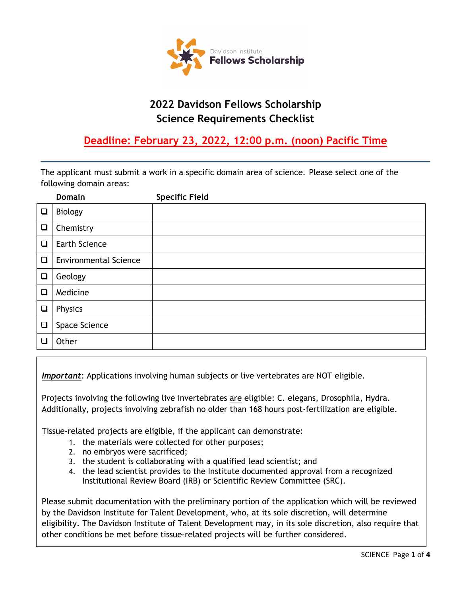

# **2022 Davidson Fellows Scholarship Science Requirements Checklist**

## **Deadline: February 23, 2022, 12:00 p.m. (noon) Pacific Time**

The applicant must submit a work in a specific domain area of science. Please select one of the following domain areas:

|        | <b>Domain</b>                | <b>Specific Field</b> |
|--------|------------------------------|-----------------------|
| $\Box$ | <b>Biology</b>               |                       |
| $\Box$ | Chemistry                    |                       |
| $\Box$ | Earth Science                |                       |
| $\Box$ | <b>Environmental Science</b> |                       |
| $\Box$ | Geology                      |                       |
| $\Box$ | Medicine                     |                       |
| $\Box$ | Physics                      |                       |
| $\Box$ | Space Science                |                       |
| $\Box$ | Other                        |                       |

*Important*: Applications involving human subjects or live vertebrates are NOT eligible.

Projects involving the following live invertebrates are eligible: C. elegans, Drosophila, Hydra. Additionally, projects involving zebrafish no older than 168 hours post-fertilization are eligible.

Tissue-related projects are eligible, if the applicant can demonstrate:

- 1. the materials were collected for other purposes;
- 2. no embryos were sacrificed; and scientistical scientists; and scientists; and scientists; and scientists; and scientists; and scientists; and scientists; and scientists; and scientists; and scientists; and scientists; a
- 3. the student is collaborating with a qualified lead scientist; and
- 4. the lead scientist provides to the Institute documented approval from a recognized Institutional Review Board (IRB) or Scientific Review Committee (SRC).

Please submit documentation with the preliminary portion of the application which will be reviewed by

Please submit documentation with the preliminary portion of the application which will be reviewed by the Davidson Institute for Talent Development, who, at its sole discretion, will determine eligibility. The Davidson Institute of Talent Development may, in its sole discretion, also require that other conditions be met before tissue-related projects will be further considered.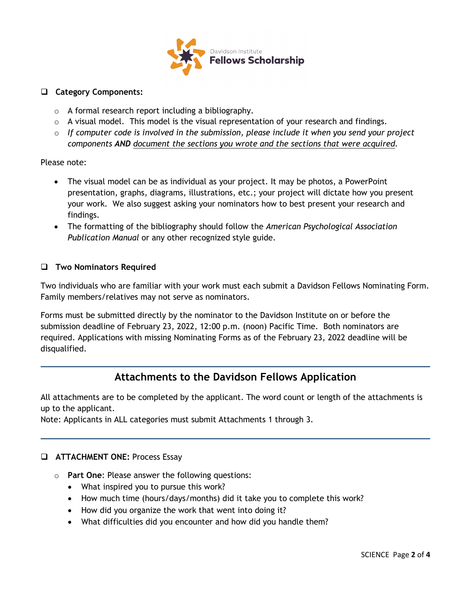

#### **Category Components:**

- o A formal research report including a bibliography.
- $\circ$  A visual model. This model is the visual representation of your research and findings.
- o *If computer code is involved in the submission, please include it when you send your project components AND document the sections you wrote and the sections that were acquired.*

#### Please note:

- The visual model can be as individual as your project. It may be photos, a PowerPoint presentation, graphs, diagrams, illustrations, etc.; your project will dictate how you present your work. We also suggest asking your nominators how to best present your research and findings.
- The formatting of the bibliography should follow the *American Psychological Association Publication Manual* or any other recognized style guide.

#### **Two Nominators Required**

Two individuals who are familiar with your work must each submit a Davidson Fellows Nominating Form. Family members/relatives may not serve as nominators.

Forms must be submitted directly by the nominator to the Davidson Institute on or before the submission deadline of February 23, 2022, 12:00 p.m. (noon) Pacific Time. Both nominators are required. Applications with missing Nominating Forms as of the February 23, 2022 deadline will be disqualified.

### **Attachments to the Davidson Fellows Application**

All attachments are to be completed by the applicant. The word count or length of the attachments is up to the applicant.

Note: Applicants in ALL categories must submit Attachments 1 through 3.

### **ATTACHMENT ONE:** Process Essay

- o **Part One**: Please answer the following questions:
	- What inspired you to pursue this work?
	- How much time (hours/days/months) did it take you to complete this work?
	- How did you organize the work that went into doing it?
	- What difficulties did you encounter and how did you handle them?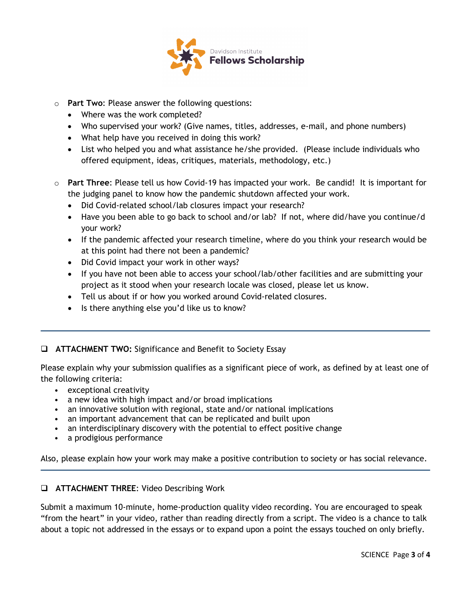

- o **Part Two**: Please answer the following questions:
	- Where was the work completed?
	- Who supervised your work? (Give names, titles, addresses, e-mail, and phone numbers)
	- What help have you received in doing this work?
	- List who helped you and what assistance he/she provided. (Please include individuals who offered equipment, ideas, critiques, materials, methodology, etc.)
- o **Part Three**: Please tell us how Covid-19 has impacted your work. Be candid! It is important for the judging panel to know how the pandemic shutdown affected your work.
	- Did Covid-related school/lab closures impact your research?
	- Have you been able to go back to school and/or lab? If not, where did/have you continue/d your work?
	- If the pandemic affected your research timeline, where do you think your research would be at this point had there not been a pandemic?
	- Did Covid impact your work in other ways?
	- If you have not been able to access your school/lab/other facilities and are submitting your project as it stood when your research locale was closed, please let us know.
	- Tell us about if or how you worked around Covid-related closures.
	- Is there anything else you'd like us to know?

#### **ATTACHMENT TWO:** Significance and Benefit to Society Essay

Please explain why your submission qualifies as a significant piece of work, as defined by at least one of the following criteria:

- exceptional creativity
- a new idea with high impact and/or broad implications
- an innovative solution with regional, state and/or national implications
- an important advancement that can be replicated and built upon
- an interdisciplinary discovery with the potential to effect positive change
- a prodigious performance

Also, please explain how your work may make a positive contribution to society or has social relevance.

#### **ATTACHMENT THREE**: Video Describing Work

Submit a maximum 10-minute, home-production quality video recording. You are encouraged to speak "from the heart" in your video, rather than reading directly from a script. The video is a chance to talk about a topic not addressed in the essays or to expand upon a point the essays touched on only briefly.